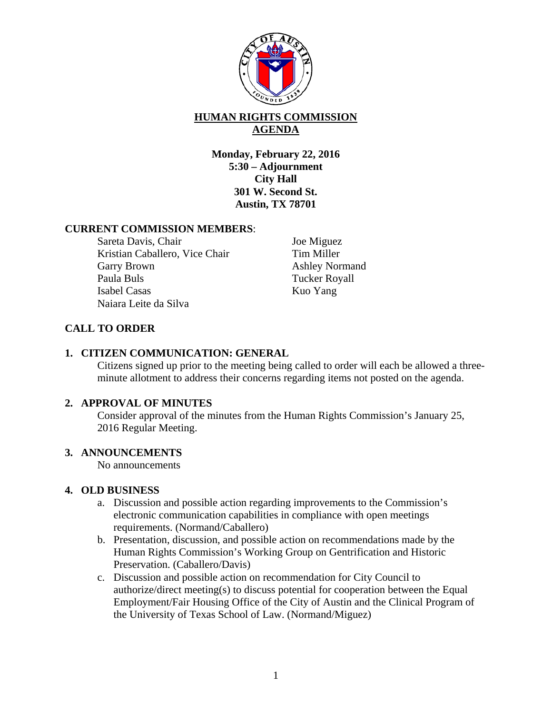

# **HUMAN RIGHTS COMMISSION AGENDA**

**Monday, February 22, 2016 5:30 – Adjournment City Hall 301 W. Second St. Austin, TX 78701** 

### **CURRENT COMMISSION MEMBERS**:

Sareta Davis, Chair Kristian Caballero, Vice Chair Garry Brown Paula Buls Isabel Casas Naiara Leite da Silva

Joe Miguez Tim Miller Ashley Normand Tucker Royall Kuo Yang

## **CALL TO ORDER**

## **1. CITIZEN COMMUNICATION: GENERAL**

Citizens signed up prior to the meeting being called to order will each be allowed a threeminute allotment to address their concerns regarding items not posted on the agenda.

#### **2. APPROVAL OF MINUTES**

Consider approval of the minutes from the Human Rights Commission's January 25, 2016 Regular Meeting.

#### **3. ANNOUNCEMENTS**

No announcements

#### **4. OLD BUSINESS**

- a. Discussion and possible action regarding improvements to the Commission's electronic communication capabilities in compliance with open meetings requirements. (Normand/Caballero)
- b. Presentation, discussion, and possible action on recommendations made by the Human Rights Commission's Working Group on Gentrification and Historic Preservation. (Caballero/Davis)
- c. Discussion and possible action on recommendation for City Council to authorize/direct meeting(s) to discuss potential for cooperation between the Equal Employment/Fair Housing Office of the City of Austin and the Clinical Program of the University of Texas School of Law. (Normand/Miguez)